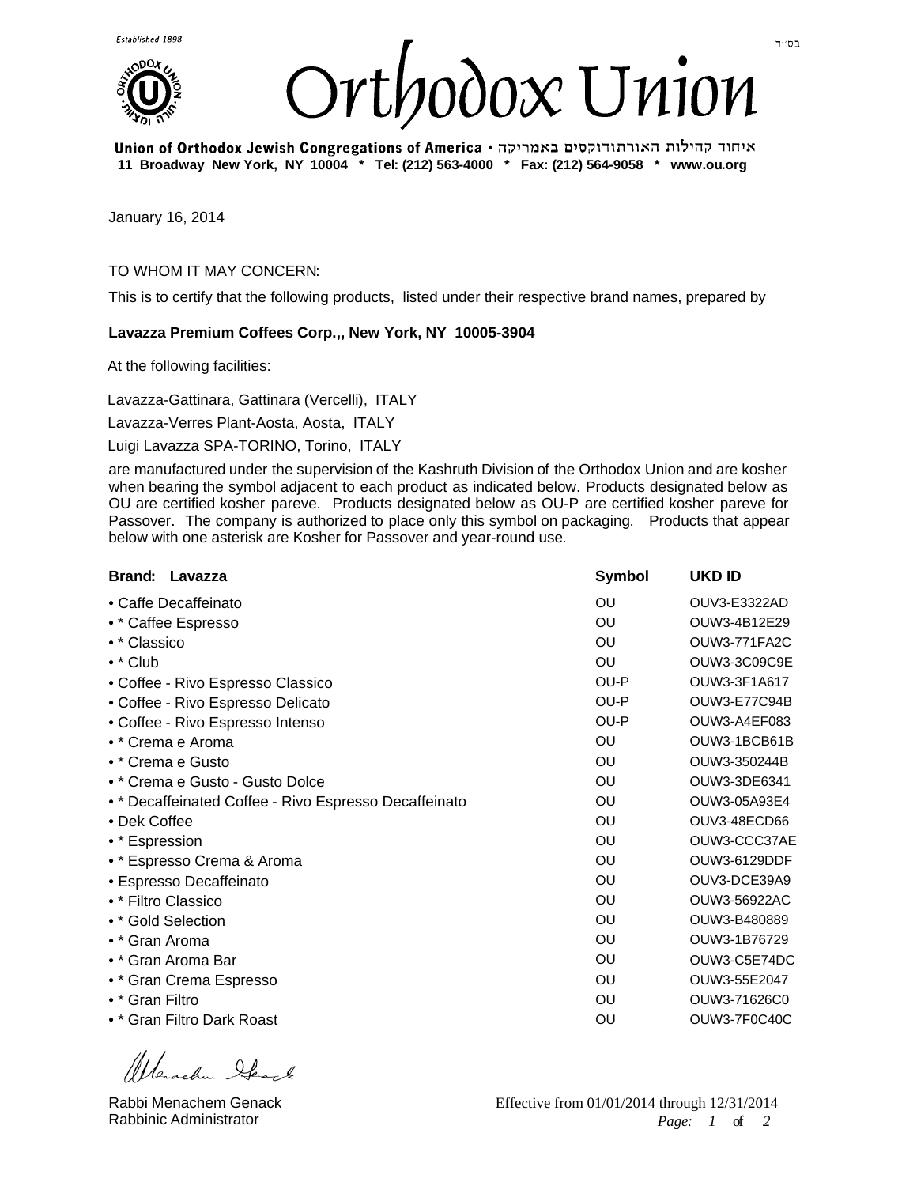



איחוד קהילות האורתודוקסים באמריקה • Union of Orthodox Jewish Congregations of America **11 Broadway New York, NY 10004 \* Tel: (212) 563-4000 \* Fax: (212) 564-9058 \* www.ou.org**

January 16, 2014

## TO WHOM IT MAY CONCERN:

This is to certify that the following products, listed under their respective brand names, prepared by

## **Lavazza Premium Coffees Corp.,, New York, NY 10005-3904**

At the following facilities:

Lavazza-Gattinara, Gattinara (Vercelli), ITALY

Lavazza-Verres Plant-Aosta, Aosta, ITALY

Luigi Lavazza SPA-TORINO, Torino, ITALY

are manufactured under the supervision of the Kashruth Division of the Orthodox Union and are kosher when bearing the symbol adjacent to each product as indicated below. Products designated below as OU are certified kosher pareve. Products designated below as OU-P are certified kosher pareve for Passover. The company is authorized to place only this symbol on packaging. Products that appear below with one asterisk are Kosher for Passover and year-round use.

| Brand: Lavazza                                        | <b>Symbol</b> | <b>UKD ID</b>       |
|-------------------------------------------------------|---------------|---------------------|
| • Caffe Decaffeinato                                  | OU            | OUV3-E3322AD        |
| • * Caffee Espresso                                   | OU            | OUW3-4B12E29        |
| • * Classico                                          | OU            | <b>OUW3-771FA2C</b> |
| $\bullet$ * Club                                      | OU            | OUW3-3C09C9E        |
| • Coffee - Rivo Espresso Classico                     | OU-P          | OUW3-3F1A617        |
| • Coffee - Rivo Espresso Delicato                     | OU-P          | OUW3-E77C94B        |
| • Coffee - Rivo Espresso Intenso                      | OU-P          | OUW3-A4EF083        |
| • * Crema e Aroma                                     | OU            | OUW3-1BCB61B        |
| • * Crema e Gusto                                     | OU            | OUW3-350244B        |
| • * Crema e Gusto - Gusto Dolce                       | OU            | OUW3-3DE6341        |
| • * Decaffeinated Coffee - Rivo Espresso Decaffeinato | OU            | OUW3-05A93E4        |
| • Dek Coffee                                          | OU            | OUV3-48ECD66        |
| • * Espression                                        | OU            | OUW3-CCC37AE        |
| • * Espresso Crema & Aroma                            | OU            | OUW3-6129DDF        |
| • Espresso Decaffeinato                               | OU            | OUV3-DCE39A9        |
| • * Filtro Classico                                   | OU            | OUW3-56922AC        |
| • * Gold Selection                                    | OU            | OUW3-B480889        |
| • * Gran Aroma                                        | OU            | OUW3-1B76729        |
| • * Gran Aroma Bar                                    | OU            | OUW3-C5E74DC        |
| • * Gran Crema Espresso                               | OU            | OUW3-55E2047        |
| • * Gran Filtro                                       | OU            | OUW3-71626C0        |
| • * Gran Filtro Dark Roast                            | OU            | OUW3-7F0C40C        |
|                                                       |               |                     |

Wesch Ibert

Rabbi Menachem Genack Rabbinic Administrator